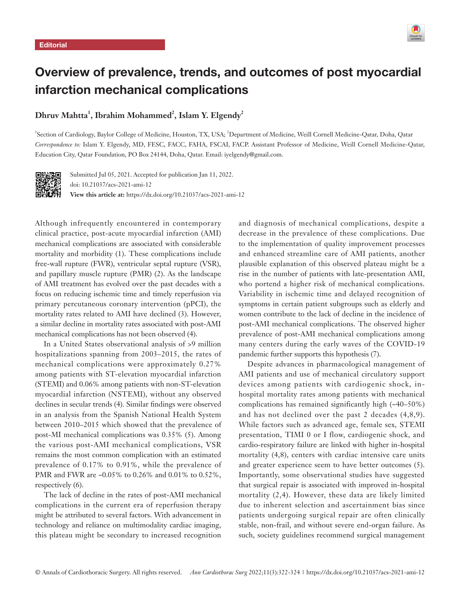

# Overview of prevalence, trends, and outcomes of post myocardial infarction mechanical complications

## $\mathbf{D}$ hruv Mahtta<sup>1</sup>, Ibrahim Mohammed<sup>2</sup>, Islam Y. Elgendy<sup>2</sup>

<sup>1</sup>Section of Cardiology, Baylor College of Medicine, Houston, TX, USA; <sup>2</sup>Department of Medicine, Weill Cornell Medicine-Qatar, Doha, Qatar *Correspondence to:* Islam Y. Elgendy, MD, FESC, FACC, FAHA, FSCAI, FACP. Assistant Professor of Medicine, Weill Cornell Medicine-Qatar, Education City, Qatar Foundation, PO Box 24144, Doha, Qatar. Email: iyelgendy@gmail.com.



Submitted Jul 05, 2021. Accepted for publication Jan 11, 2022. doi: 10.21037/acs-2021-ami-12 **View this article at:** https://dx.doi.org/10.21037/acs-2021-ami-12

Although infrequently encountered in contemporary clinical practice, post-acute myocardial infarction (AMI) mechanical complications are associated with considerable mortality and morbidity (1). These complications include free-wall rupture (FWR), ventricular septal rupture (VSR), and papillary muscle rupture (PMR) (2). As the landscape of AMI treatment has evolved over the past decades with a focus on reducing ischemic time and timely reperfusion via primary percutaneous coronary intervention (pPCI), the mortality rates related to AMI have declined (3). However, a similar decline in mortality rates associated with post-AMI mechanical complications has not been observed (4).

In a United States observational analysis of >9 million hospitalizations spanning from 2003–2015, the rates of mechanical complications were approximately 0.27% among patients with ST-elevation myocardial infarction (STEMI) and 0.06% among patients with non-ST-elevation myocardial infarction (NSTEMI), without any observed declines in secular trends (4). Similar findings were observed in an analysis from the Spanish National Health System between 2010–2015 which showed that the prevalence of post-MI mechanical complications was 0.35% (5). Among the various post-AMI mechanical complications, VSR remains the most common complication with an estimated prevalence of 0.17% to 0.91%, while the prevalence of PMR and FWR are ~0.05% to 0.26% and 0.01% to 0.52%, respectively (6).

The lack of decline in the rates of post-AMI mechanical complications in the current era of reperfusion therapy might be attributed to several factors. With advancement in technology and reliance on multimodality cardiac imaging, this plateau might be secondary to increased recognition

and diagnosis of mechanical complications, despite a decrease in the prevalence of these complications. Due to the implementation of quality improvement processes and enhanced streamline care of AMI patients, another plausible explanation of this observed plateau might be a rise in the number of patients with late-presentation AMI, who portend a higher risk of mechanical complications. Variability in ischemic time and delayed recognition of symptoms in certain patient subgroups such as elderly and women contribute to the lack of decline in the incidence of post-AMI mechanical complications. The observed higher prevalence of post-AMI mechanical complications among many centers during the early waves of the COVID-19 pandemic further supports this hypothesis (7).

Despite advances in pharmacological management of AMI patients and use of mechanical circulatory support devices among patients with cardiogenic shock, inhospital mortality rates among patients with mechanical complications has remained significantly high (~40–50%) and has not declined over the past 2 decades (4,8,9). While factors such as advanced age, female sex, STEMI presentation, TIMI 0 or I flow, cardiogenic shock, and cardio-respiratory failure are linked with higher in-hospital mortality (4,8), centers with cardiac intensive care units and greater experience seem to have better outcomes (5). Importantly, some observational studies have suggested that surgical repair is associated with improved in-hospital mortality (2,4). However, these data are likely limited due to inherent selection and ascertainment bias since patients undergoing surgical repair are often clinically stable, non-frail, and without severe end-organ failure. As such, society guidelines recommend surgical management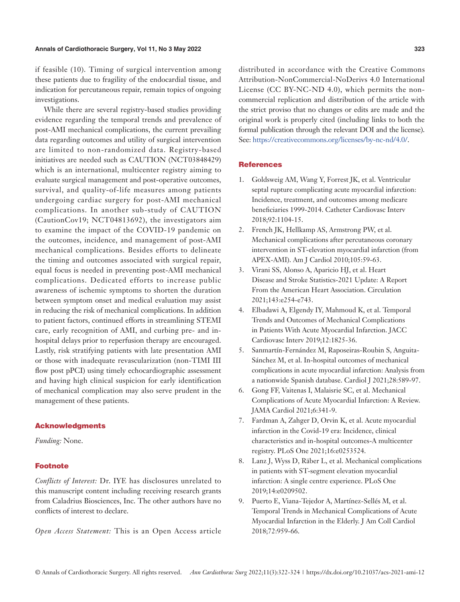if feasible (10). Timing of surgical intervention among these patients due to fragility of the endocardial tissue, and indication for percutaneous repair, remain topics of ongoing investigations.

While there are several registry-based studies providing evidence regarding the temporal trends and prevalence of post-AMI mechanical complications, the current prevailing data regarding outcomes and utility of surgical intervention are limited to non-randomized data. Registry-based initiatives are needed such as CAUTION (NCT03848429) which is an international, multicenter registry aiming to evaluate surgical management and post-operative outcomes, survival, and quality-of-life measures among patients undergoing cardiac surgery for post-AMI mechanical complications. In another sub-study of CAUTION (CautionCov19; NCT04813692), the investigators aim to examine the impact of the COVID-19 pandemic on the outcomes, incidence, and management of post-AMI mechanical complications. Besides efforts to delineate the timing and outcomes associated with surgical repair, equal focus is needed in preventing post-AMI mechanical complications. Dedicated efforts to increase public awareness of ischemic symptoms to shorten the duration between symptom onset and medical evaluation may assist in reducing the risk of mechanical complications. In addition to patient factors, continued efforts in streamlining STEMI care, early recognition of AMI, and curbing pre- and inhospital delays prior to reperfusion therapy are encouraged. Lastly, risk stratifying patients with late presentation AMI or those with inadequate revascularization (non-TIMI III flow post pPCI) using timely echocardiographic assessment and having high clinical suspicion for early identification of mechanical complication may also serve prudent in the management of these patients.

### Acknowledgments

*Funding:* None.

#### **Footnote**

*Conflicts of Interest:* Dr. IYE has disclosures unrelated to this manuscript content including receiving research grants from Caladrius Biosciences, Inc. The other authors have no conflicts of interest to declare.

*Open Access Statement:* This is an Open Access article

distributed in accordance with the Creative Commons Attribution-NonCommercial-NoDerivs 4.0 International License (CC BY-NC-ND 4.0), which permits the noncommercial replication and distribution of the article with the strict proviso that no changes or edits are made and the original work is properly cited (including links to both the formal publication through the relevant DOI and the license). See: [https://creativecommons.org/licenses/by-nc-nd/4.0/.](https://creativecommons.org/licenses/by-nc-nd/4.0/)

#### **References**

- 1. Goldsweig AM, Wang Y, Forrest JK, et al. Ventricular septal rupture complicating acute myocardial infarction: Incidence, treatment, and outcomes among medicare beneficiaries 1999-2014. Catheter Cardiovasc Interv 2018;92:1104-15.
- 2. French JK, Hellkamp AS, Armstrong PW, et al. Mechanical complications after percutaneous coronary intervention in ST-elevation myocardial infarction (from APEX-AMI). Am J Cardiol 2010;105:59-63.
- 3. Virani SS, Alonso A, Aparicio HJ, et al. Heart Disease and Stroke Statistics-2021 Update: A Report From the American Heart Association. Circulation 2021;143:e254-e743.
- 4. Elbadawi A, Elgendy IY, Mahmoud K, et al. Temporal Trends and Outcomes of Mechanical Complications in Patients With Acute Myocardial Infarction. JACC Cardiovasc Interv 2019;12:1825-36.
- 5. Sanmartín-Fernández M, Raposeiras-Roubin S, Anguita-Sánchez M, et al. In-hospital outcomes of mechanical complications in acute myocardial infarction: Analysis from a nationwide Spanish database. Cardiol J 2021;28:589-97.
- 6. Gong FF, Vaitenas I, Malaisrie SC, et al. Mechanical Complications of Acute Myocardial Infarction: A Review. JAMA Cardiol 2021;6:341-9.
- 7. Fardman A, Zahger D, Orvin K, et al. Acute myocardial infarction in the Covid-19 era: Incidence, clinical characteristics and in-hospital outcomes-A multicenter registry. PLoS One 2021;16:e0253524.
- 8. Lanz J, Wyss D, Räber L, et al. Mechanical complications in patients with ST-segment elevation myocardial infarction: A single centre experience. PLoS One 2019;14:e0209502.
- 9. Puerto E, Viana-Tejedor A, Martínez-Sellés M, et al. Temporal Trends in Mechanical Complications of Acute Myocardial Infarction in the Elderly. J Am Coll Cardiol 2018;72:959-66.